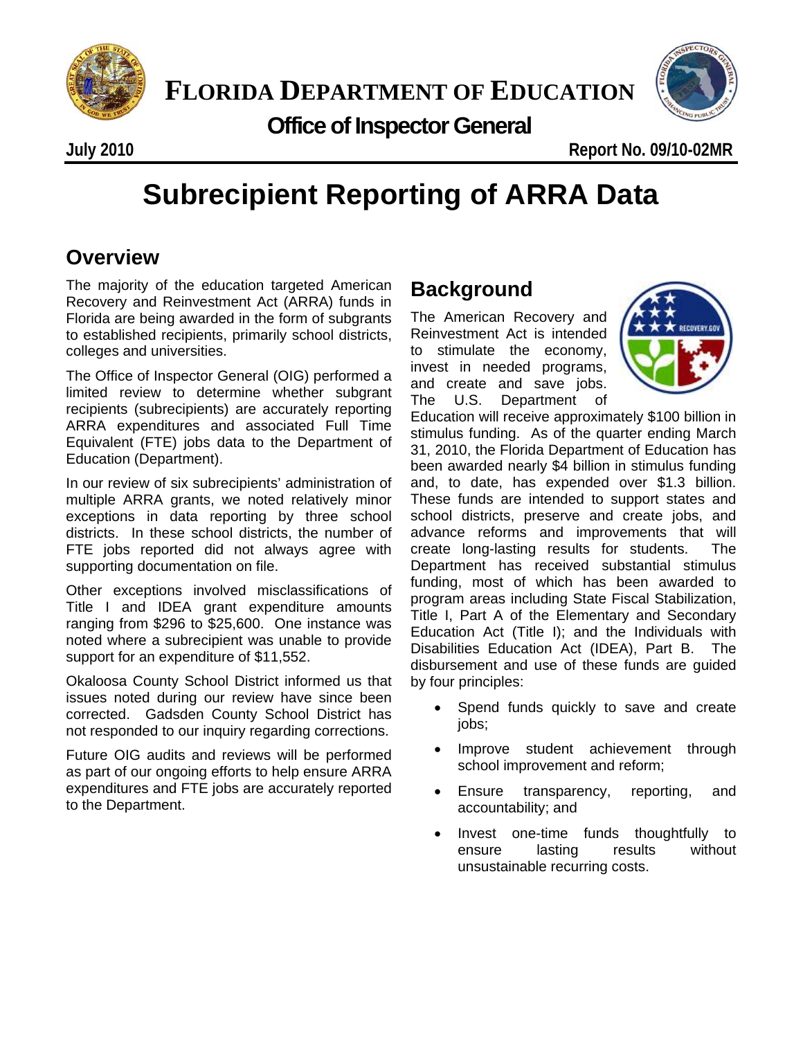

 **Office of Inspector General**



**July 2010 Report No. 09/10-02MR**

# **Subrecipient Reporting of ARRA Data**

## **Overview**

The majority of the education targeted American Recovery and Reinvestment Act (ARRA) funds in Florida are being awarded in the form of subgrants to established recipients, primarily school districts, colleges and universities.

The Office of Inspector General (OIG) performed a limited review to determine whether subgrant recipients (subrecipients) are accurately reporting ARRA expenditures and associated Full Time Equivalent (FTE) jobs data to the Department of Education (Department).

In our review of six subrecipients' administration of multiple ARRA grants, we noted relatively minor exceptions in data reporting by three school districts. In these school districts, the number of FTE jobs reported did not always agree with supporting documentation on file.

Other exceptions involved misclassifications of Title I and IDEA grant expenditure amounts ranging from \$296 to \$25,600. One instance was noted where a subrecipient was unable to provide support for an expenditure of \$11,552.

Okaloosa County School District informed us that issues noted during our review have since been corrected. Gadsden County School District has not responded to our inquiry regarding corrections.

Future OIG audits and reviews will be performed as part of our ongoing efforts to help ensure ARRA expenditures and FTE jobs are accurately reported to the Department.

## **Background**

The American Recovery and Reinvestment Act is intended to stimulate the economy, invest in needed programs, and create and save jobs. The U.S. Department of



Education will receive approximately \$100 billion in stimulus funding. As of the quarter ending March 31, 2010, the Florida Department of Education has been awarded nearly \$4 billion in stimulus funding and, to date, has expended over \$1.3 billion. These funds are intended to support states and school districts, preserve and create jobs, and advance reforms and improvements that will create long-lasting results for students. The Department has received substantial stimulus funding, most of which has been awarded to program areas including State Fiscal Stabilization, Title I, Part A of the Elementary and Secondary Education Act (Title I); and the Individuals with Disabilities Education Act (IDEA), Part B. The disbursement and use of these funds are guided by four principles:

- Spend funds quickly to save and create jobs;
- Improve student achievement through school improvement and reform;
- Ensure transparency, reporting, and accountability; and
- Invest one-time funds thoughtfully to ensure lasting results without unsustainable recurring costs.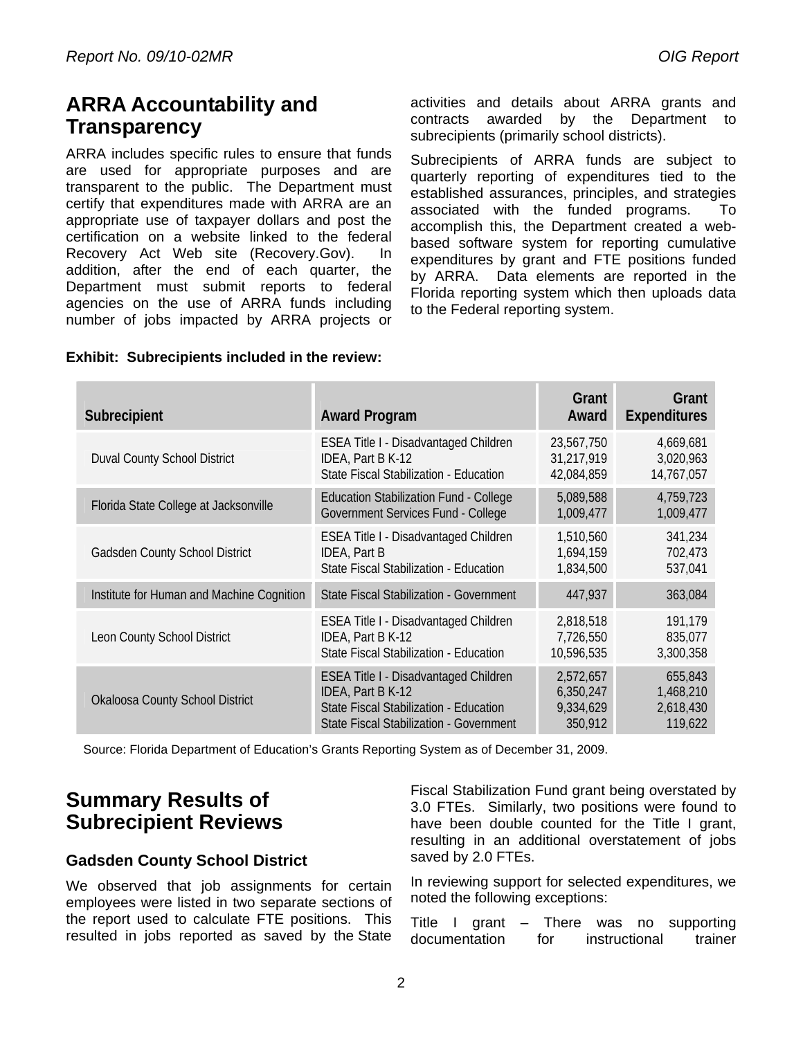## **ARRA Accountability and Transparency**

ARRA includes specific rules to ensure that funds are used for appropriate purposes and are transparent to the public. The Department must certify that expenditures made with ARRA are an appropriate use of taxpayer dollars and post the certification on a website linked to the federal Recovery Act Web site (Recovery.Gov). In addition, after the end of each quarter, the Department must submit reports to federal agencies on the use of ARRA funds including number of jobs impacted by ARRA projects or activities and details about ARRA grants and contracts awarded by the Department to subrecipients (primarily school districts).

Subrecipients of ARRA funds are subject to quarterly reporting of expenditures tied to the established assurances, principles, and strategies associated with the funded programs. To accomplish this, the Department created a webbased software system for reporting cumulative expenditures by grant and FTE positions funded by ARRA. Data elements are reported in the Florida reporting system which then uploads data to the Federal reporting system.

| Subrecipient                              | <b>Award Program</b>                          | Grant<br>Award | Grant<br><b>Expenditures</b> |
|-------------------------------------------|-----------------------------------------------|----------------|------------------------------|
| <b>Duval County School District</b>       | ESEA Title I - Disadvantaged Children         | 23,567,750     | 4,669,681                    |
|                                           | IDEA, Part B K-12                             | 31,217,919     | 3,020,963                    |
|                                           | State Fiscal Stabilization - Education        | 42,084,859     | 14,767,057                   |
| Florida State College at Jacksonville     | <b>Education Stabilization Fund - College</b> | 5,089,588      | 4,759,723                    |
|                                           | Government Services Fund - College            | 1,009,477      | 1,009,477                    |
| <b>Gadsden County School District</b>     | ESEA Title I - Disadvantaged Children         | 1,510,560      | 341,234                      |
|                                           | <b>IDEA, Part B</b>                           | 1,694,159      | 702,473                      |
|                                           | State Fiscal Stabilization - Education        | 1,834,500      | 537,041                      |
| Institute for Human and Machine Cognition | State Fiscal Stabilization - Government       | 447,937        | 363,084                      |
| Leon County School District               | <b>ESEA Title I - Disadvantaged Children</b>  | 2,818,518      | 191,179                      |
|                                           | IDEA, Part B K-12                             | 7,726,550      | 835,077                      |
|                                           | State Fiscal Stabilization - Education        | 10,596,535     | 3,300,358                    |
| <b>Okaloosa County School District</b>    | <b>ESEA Title I - Disadvantaged Children</b>  | 2,572,657      | 655,843                      |
|                                           | IDEA, Part B K-12                             | 6,350,247      | 1,468,210                    |
|                                           | State Fiscal Stabilization - Education        | 9,334,629      | 2,618,430                    |
|                                           | State Fiscal Stabilization - Government       | 350,912        | 119,622                      |

#### **Exhibit: Subrecipients included in the review:**

Source: Florida Department of Education's Grants Reporting System as of December 31, 2009.

## **Summary Results of Subrecipient Reviews**

#### **Gadsden County School District**

We observed that job assignments for certain employees were listed in two separate sections of the report used to calculate FTE positions. This resulted in jobs reported as saved by the State Fiscal Stabilization Fund grant being overstated by 3.0 FTEs. Similarly, two positions were found to have been double counted for the Title I grant, resulting in an additional overstatement of jobs saved by 2.0 FTEs.

In reviewing support for selected expenditures, we noted the following exceptions:

Title I grant – There was no supporting documentation for instructional trainer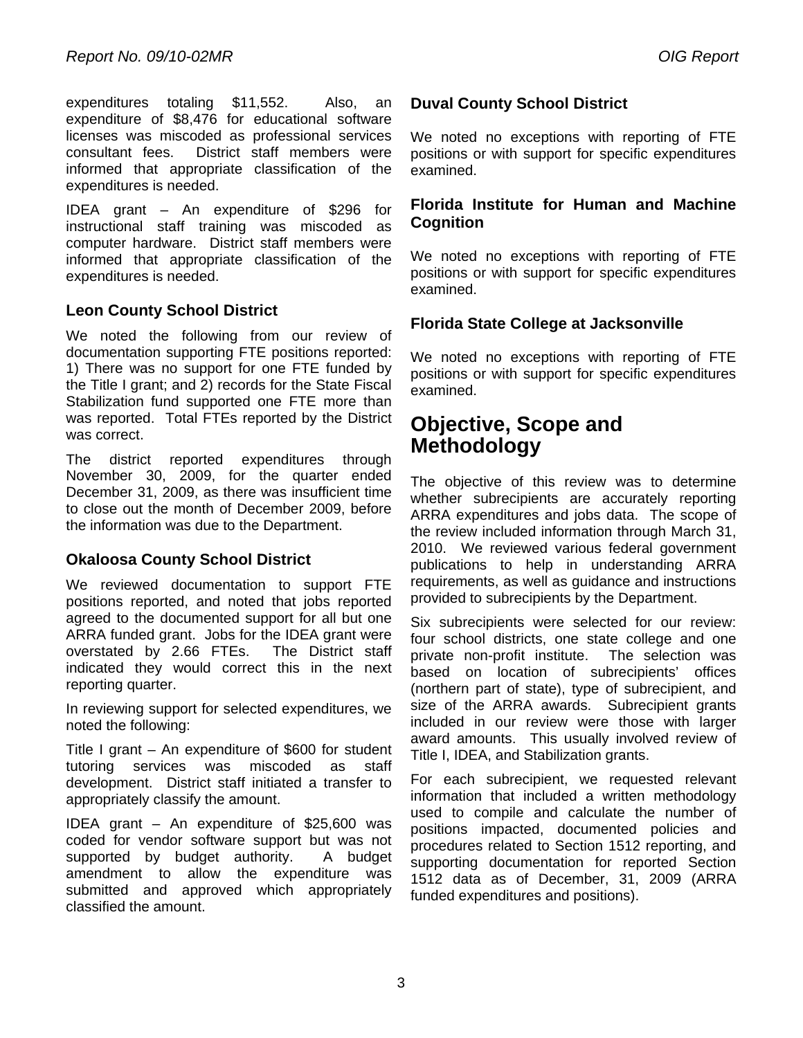expenditures totaling \$11,552. Also, an expenditure of \$8,476 for educational software licenses was miscoded as professional services consultant fees. District staff members were informed that appropriate classification of the expenditures is needed.

IDEA grant – An expenditure of \$296 for instructional staff training was miscoded as computer hardware. District staff members were informed that appropriate classification of the expenditures is needed.

#### **Leon County School District**

We noted the following from our review of documentation supporting FTE positions reported: 1) There was no support for one FTE funded by the Title I grant; and 2) records for the State Fiscal Stabilization fund supported one FTE more than was reported. Total FTEs reported by the District was correct.

The district reported expenditures through November 30, 2009, for the quarter ended December 31, 2009, as there was insufficient time to close out the month of December 2009, before the information was due to the Department.

#### **Okaloosa County School District**

We reviewed documentation to support FTE positions reported, and noted that jobs reported agreed to the documented support for all but one ARRA funded grant. Jobs for the IDEA grant were overstated by 2.66 FTEs. The District staff indicated they would correct this in the next reporting quarter.

In reviewing support for selected expenditures, we noted the following:

Title I grant – An expenditure of \$600 for student tutoring services was miscoded as staff development. District staff initiated a transfer to appropriately classify the amount.

IDEA grant – An expenditure of \$25,600 was coded for vendor software support but was not supported by budget authority. A budget amendment to allow the expenditure was submitted and approved which appropriately classified the amount.

#### **Duval County School District**

We noted no exceptions with reporting of FTE positions or with support for specific expenditures examined.

#### **Florida Institute for Human and Machine Cognition**

We noted no exceptions with reporting of FTE positions or with support for specific expenditures examined.

#### **Florida State College at Jacksonville**

We noted no exceptions with reporting of FTE positions or with support for specific expenditures examined.

### **Objective, Scope and Methodology**

The objective of this review was to determine whether subrecipients are accurately reporting ARRA expenditures and jobs data. The scope of the review included information through March 31, 2010. We reviewed various federal government publications to help in understanding ARRA requirements, as well as guidance and instructions provided to subrecipients by the Department.

Six subrecipients were selected for our review: four school districts, one state college and one private non-profit institute. The selection was based on location of subrecipients' offices (northern part of state), type of subrecipient, and size of the ARRA awards. Subrecipient grants included in our review were those with larger award amounts. This usually involved review of Title I, IDEA, and Stabilization grants.

For each subrecipient, we requested relevant information that included a written methodology used to compile and calculate the number of positions impacted, documented policies and procedures related to Section 1512 reporting, and supporting documentation for reported Section 1512 data as of December, 31, 2009 (ARRA funded expenditures and positions).